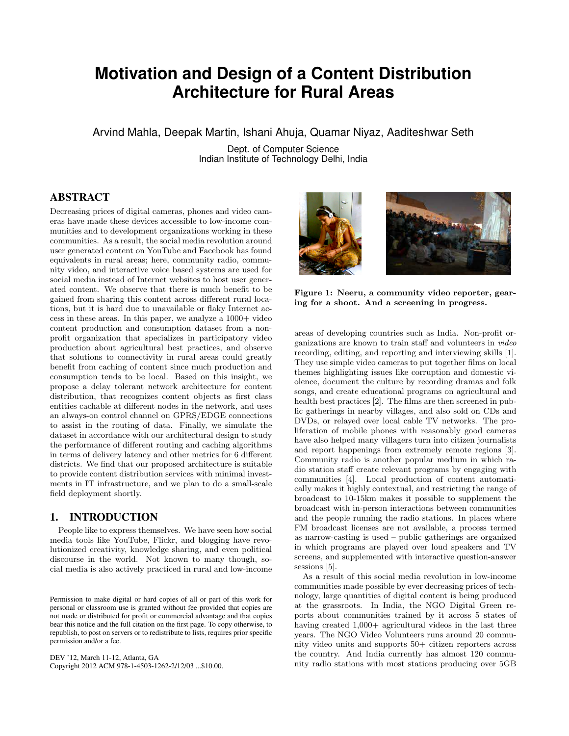# **Motivation and Design of a Content Distribution Architecture for Rural Areas**

Arvind Mahla, Deepak Martin, Ishani Ahuja, Quamar Niyaz, Aaditeshwar Seth

Dept. of Computer Science Indian Institute of Technology Delhi, India

# ABSTRACT

Decreasing prices of digital cameras, phones and video cameras have made these devices accessible to low-income communities and to development organizations working in these communities. As a result, the social media revolution around user generated content on YouTube and Facebook has found equivalents in rural areas; here, community radio, community video, and interactive voice based systems are used for social media instead of Internet websites to host user generated content. We observe that there is much benefit to be gained from sharing this content across different rural locations, but it is hard due to unavailable or flaky Internet access in these areas. In this paper, we analyze a  $1000+$  video content production and consumption dataset from a nonprofit organization that specializes in participatory video production about agricultural best practices, and observe that solutions to connectivity in rural areas could greatly benefit from caching of content since much production and consumption tends to be local. Based on this insight, we propose a delay tolerant network architecture for content distribution, that recognizes content objects as first class entities cachable at different nodes in the network, and uses an always-on control channel on GPRS/EDGE connections to assist in the routing of data. Finally, we simulate the dataset in accordance with our architectural design to study the performance of different routing and caching algorithms in terms of delivery latency and other metrics for 6 different districts. We find that our proposed architecture is suitable to provide content distribution services with minimal investments in IT infrastructure, and we plan to do a small-scale field deployment shortly.

# 1. INTRODUCTION

People like to express themselves. We have seen how social media tools like YouTube, Flickr, and blogging have revolutionized creativity, knowledge sharing, and even political discourse in the world. Not known to many though, social media is also actively practiced in rural and low-income

DEV '12, March 11-12, Atlanta, GA Copyright 2012 ACM 978-1-4503-1262-2/12/03 ...\$10.00.



Figure 1: Neeru, a community video reporter, gearing for a shoot. And a screening in progress.

areas of developing countries such as India. Non-profit organizations are known to train staff and volunteers in video recording, editing, and reporting and interviewing skills [1]. They use simple video cameras to put together films on local themes highlighting issues like corruption and domestic violence, document the culture by recording dramas and folk songs, and create educational programs on agricultural and health best practices [2]. The films are then screened in public gatherings in nearby villages, and also sold on CDs and DVDs, or relayed over local cable TV networks. The proliferation of mobile phones with reasonably good cameras have also helped many villagers turn into citizen journalists and report happenings from extremely remote regions [3]. Community radio is another popular medium in which radio station staff create relevant programs by engaging with communities [4]. Local production of content automatically makes it highly contextual, and restricting the range of broadcast to 10-15km makes it possible to supplement the broadcast with in-person interactions between communities and the people running the radio stations. In places where FM broadcast licenses are not available, a process termed as narrow-casting is used – public gatherings are organized in which programs are played over loud speakers and TV screens, and supplemented with interactive question-answer sessions [5].

As a result of this social media revolution in low-income communities made possible by ever decreasing prices of technology, large quantities of digital content is being produced at the grassroots. In India, the NGO Digital Green reports about communities trained by it across 5 states of having created  $1,000+$  agricultural videos in the last three years. The NGO Video Volunteers runs around 20 community video units and supports 50+ citizen reporters across the country. And India currently has almost 120 community radio stations with most stations producing over 5GB

Permission to make digital or hard copies of all or part of this work for personal or classroom use is granted without fee provided that copies are not made or distributed for profit or commercial advantage and that copies bear this notice and the full citation on the first page. To copy otherwise, to republish, to post on servers or to redistribute to lists, requires prior specific permission and/or a fee.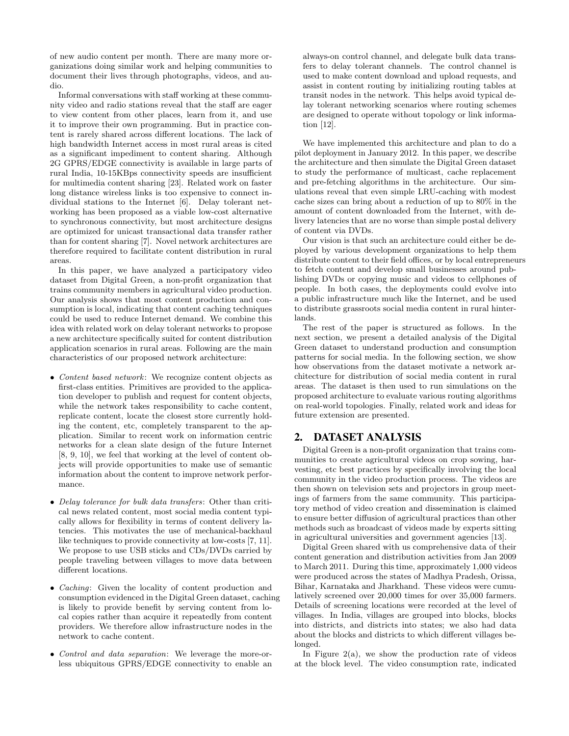of new audio content per month. There are many more organizations doing similar work and helping communities to document their lives through photographs, videos, and audio.

Informal conversations with staff working at these community video and radio stations reveal that the staff are eager to view content from other places, learn from it, and use it to improve their own programming. But in practice content is rarely shared across different locations. The lack of high bandwidth Internet access in most rural areas is cited as a significant impediment to content sharing. Although 2G GPRS/EDGE connectivity is available in large parts of rural India, 10-15KBps connectivity speeds are insufficient for multimedia content sharing [23]. Related work on faster long distance wireless links is too expensive to connect individual stations to the Internet [6]. Delay tolerant networking has been proposed as a viable low-cost alternative to synchronous connectivity, but most architecture designs are optimized for unicast transactional data transfer rather than for content sharing [7]. Novel network architectures are therefore required to facilitate content distribution in rural areas.

In this paper, we have analyzed a participatory video dataset from Digital Green, a non-profit organization that trains community members in agricultural video production. Our analysis shows that most content production and consumption is local, indicating that content caching techniques could be used to reduce Internet demand. We combine this idea with related work on delay tolerant networks to propose a new architecture specifically suited for content distribution application scenarios in rural areas. Following are the main characteristics of our proposed network architecture:

- Content based network: We recognize content objects as first-class entities. Primitives are provided to the application developer to publish and request for content objects, while the network takes responsibility to cache content, replicate content, locate the closest store currently holding the content, etc, completely transparent to the application. Similar to recent work on information centric networks for a clean slate design of the future Internet [8, 9, 10], we feel that working at the level of content objects will provide opportunities to make use of semantic information about the content to improve network performance.
- Delay tolerance for bulk data transfers: Other than critical news related content, most social media content typically allows for flexibility in terms of content delivery latencies. This motivates the use of mechanical-backhaul like techniques to provide connectivity at low-costs [7, 11]. We propose to use USB sticks and CDs/DVDs carried by people traveling between villages to move data between different locations.
- Caching: Given the locality of content production and consumption evidenced in the Digital Green dataset, caching is likely to provide benefit by serving content from local copies rather than acquire it repeatedly from content providers. We therefore allow infrastructure nodes in the network to cache content.
- Control and data separation: We leverage the more-orless ubiquitous GPRS/EDGE connectivity to enable an

always-on control channel, and delegate bulk data transfers to delay tolerant channels. The control channel is used to make content download and upload requests, and assist in content routing by initializing routing tables at transit nodes in the network. This helps avoid typical delay tolerant networking scenarios where routing schemes are designed to operate without topology or link information [12].

We have implemented this architecture and plan to do a pilot deployment in January 2012. In this paper, we describe the architecture and then simulate the Digital Green dataset to study the performance of multicast, cache replacement and pre-fetching algorithms in the architecture. Our simulations reveal that even simple LRU-caching with modest cache sizes can bring about a reduction of up to 80% in the amount of content downloaded from the Internet, with delivery latencies that are no worse than simple postal delivery of content via DVDs.

Our vision is that such an architecture could either be deployed by various development organizations to help them distribute content to their field offices, or by local entrepreneurs to fetch content and develop small businesses around publishing DVDs or copying music and videos to cellphones of people. In both cases, the deployments could evolve into a public infrastructure much like the Internet, and be used to distribute grassroots social media content in rural hinterlands.

The rest of the paper is structured as follows. In the next section, we present a detailed analysis of the Digital Green dataset to understand production and consumption patterns for social media. In the following section, we show how observations from the dataset motivate a network architecture for distribution of social media content in rural areas. The dataset is then used to run simulations on the proposed architecture to evaluate various routing algorithms on real-world topologies. Finally, related work and ideas for future extension are presented.

# 2. DATASET ANALYSIS

Digital Green is a non-profit organization that trains communities to create agricultural videos on crop sowing, harvesting, etc best practices by specifically involving the local community in the video production process. The videos are then shown on television sets and projectors in group meetings of farmers from the same community. This participatory method of video creation and dissemination is claimed to ensure better diffusion of agricultural practices than other methods such as broadcast of videos made by experts sitting in agricultural universities and government agencies [13].

Digital Green shared with us comprehensive data of their content generation and distribution activities from Jan 2009 to March 2011. During this time, approximately 1,000 videos were produced across the states of Madhya Pradesh, Orissa, Bihar, Karnataka and Jharkhand. These videos were cumulatively screened over 20,000 times for over 35,000 farmers. Details of screening locations were recorded at the level of villages. In India, villages are grouped into blocks, blocks into districts, and districts into states; we also had data about the blocks and districts to which different villages belonged.

In Figure  $2(a)$ , we show the production rate of videos at the block level. The video consumption rate, indicated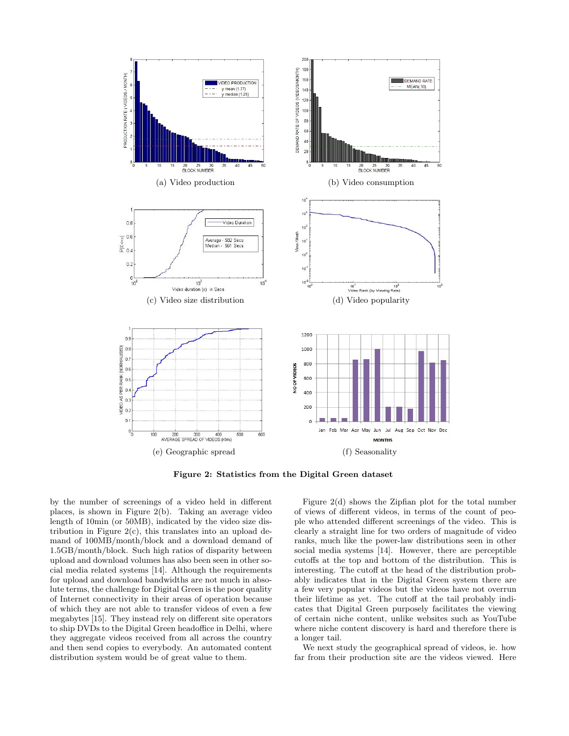

Figure 2: Statistics from the Digital Green dataset

by the number of screenings of a video held in different places, is shown in Figure 2(b). Taking an average video length of 10min (or 50MB), indicated by the video size distribution in Figure  $2(c)$ , this translates into an upload demand of 100MB/month/block and a download demand of 1.5GB/month/block. Such high ratios of disparity between upload and download volumes has also been seen in other social media related systems [14]. Although the requirements for upload and download bandwidths are not much in absolute terms, the challenge for Digital Green is the poor quality of Internet connectivity in their areas of operation because of which they are not able to transfer videos of even a few megabytes [15]. They instead rely on different site operators to ship DVDs to the Digital Green headoffice in Delhi, where they aggregate videos received from all across the country and then send copies to everybody. An automated content distribution system would be of great value to them.

Figure 2(d) shows the Zipfian plot for the total number of views of different videos, in terms of the count of people who attended different screenings of the video. This is clearly a straight line for two orders of magnitude of video ranks, much like the power-law distributions seen in other social media systems [14]. However, there are perceptible cutoffs at the top and bottom of the distribution. This is interesting. The cutoff at the head of the distribution probably indicates that in the Digital Green system there are a few very popular videos but the videos have not overrun their lifetime as yet. The cutoff at the tail probably indicates that Digital Green purposely facilitates the viewing of certain niche content, unlike websites such as YouTube where niche content discovery is hard and therefore there is a longer tail.

We next study the geographical spread of videos, ie. how far from their production site are the videos viewed. Here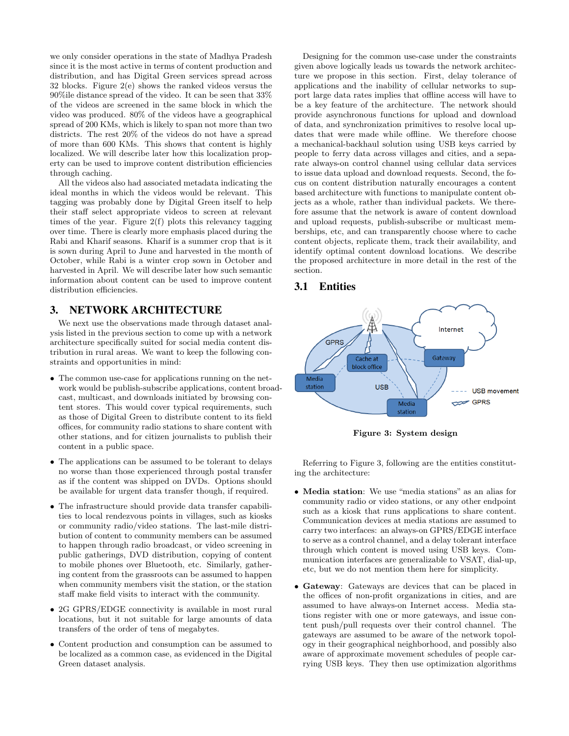we only consider operations in the state of Madhya Pradesh since it is the most active in terms of content production and distribution, and has Digital Green services spread across 32 blocks. Figure 2(e) shows the ranked videos versus the 90%ile distance spread of the video. It can be seen that 33% of the videos are screened in the same block in which the video was produced. 80% of the videos have a geographical spread of 200 KMs, which is likely to span not more than two districts. The rest 20% of the videos do not have a spread of more than 600 KMs. This shows that content is highly localized. We will describe later how this localization property can be used to improve content distribution efficiencies through caching.

All the videos also had associated metadata indicating the ideal months in which the videos would be relevant. This tagging was probably done by Digital Green itself to help their staff select appropriate videos to screen at relevant times of the year. Figure 2(f) plots this relevancy tagging over time. There is clearly more emphasis placed during the Rabi and Kharif seasons. Kharif is a summer crop that is it is sown during April to June and harvested in the month of October, while Rabi is a winter crop sown in October and harvested in April. We will describe later how such semantic information about content can be used to improve content distribution efficiencies.

## 3. NETWORK ARCHITECTURE

We next use the observations made through dataset analysis listed in the previous section to come up with a network architecture specifically suited for social media content distribution in rural areas. We want to keep the following constraints and opportunities in mind:

- The common use-case for applications running on the network would be publish-subscribe applications, content broadcast, multicast, and downloads initiated by browsing content stores. This would cover typical requirements, such as those of Digital Green to distribute content to its field offices, for community radio stations to share content with other stations, and for citizen journalists to publish their content in a public space.
- The applications can be assumed to be tolerant to delays no worse than those experienced through postal transfer as if the content was shipped on DVDs. Options should be available for urgent data transfer though, if required.
- The infrastructure should provide data transfer capabilities to local rendezvous points in villages, such as kiosks or community radio/video stations. The last-mile distribution of content to community members can be assumed to happen through radio broadcast, or video screening in public gatherings, DVD distribution, copying of content to mobile phones over Bluetooth, etc. Similarly, gathering content from the grassroots can be assumed to happen when community members visit the station, or the station staff make field visits to interact with the community.
- 2G GPRS/EDGE connectivity is available in most rural locations, but it not suitable for large amounts of data transfers of the order of tens of megabytes.
- Content production and consumption can be assumed to be localized as a common case, as evidenced in the Digital Green dataset analysis.

Designing for the common use-case under the constraints given above logically leads us towards the network architecture we propose in this section. First, delay tolerance of applications and the inability of cellular networks to support large data rates implies that offline access will have to be a key feature of the architecture. The network should provide asynchronous functions for upload and download of data, and synchronization primitives to resolve local updates that were made while offline. We therefore choose a mechanical-backhaul solution using USB keys carried by people to ferry data across villages and cities, and a separate always-on control channel using cellular data services to issue data upload and download requests. Second, the focus on content distribution naturally encourages a content based architecture with functions to manipulate content objects as a whole, rather than individual packets. We therefore assume that the network is aware of content download and upload requests, publish-subscribe or multicast memberships, etc, and can transparently choose where to cache content objects, replicate them, track their availability, and identify optimal content download locations. We describe the proposed architecture in more detail in the rest of the section.

# 3.1 Entities



Figure 3: System design

Referring to Figure 3, following are the entities constituting the architecture:

- Media station: We use "media stations" as an alias for community radio or video stations, or any other endpoint such as a kiosk that runs applications to share content. Communication devices at media stations are assumed to carry two interfaces: an always-on GPRS/EDGE interface to serve as a control channel, and a delay tolerant interface through which content is moved using USB keys. Communication interfaces are generalizable to VSAT, dial-up, etc, but we do not mention them here for simplicity.
- Gateway: Gateways are devices that can be placed in the offices of non-profit organizations in cities, and are assumed to have always-on Internet access. Media stations register with one or more gateways, and issue content push/pull requests over their control channel. The gateways are assumed to be aware of the network topology in their geographical neighborhood, and possibly also aware of approximate movement schedules of people carrying USB keys. They then use optimization algorithms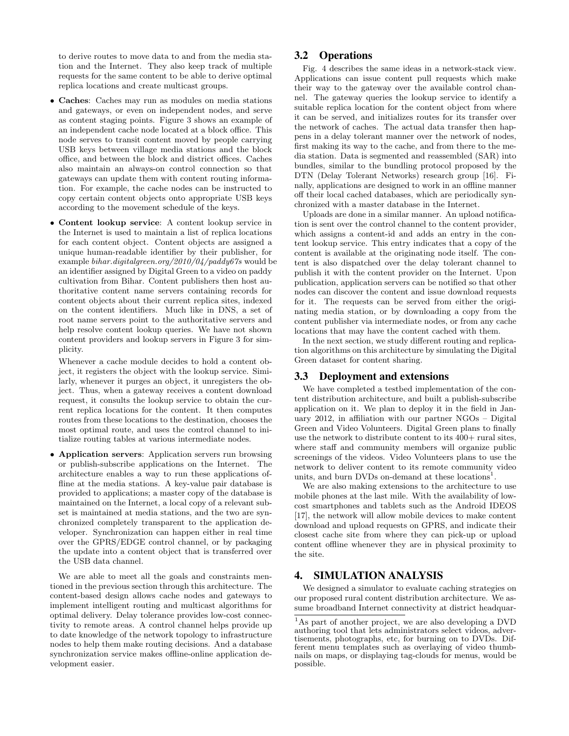to derive routes to move data to and from the media station and the Internet. They also keep track of multiple requests for the same content to be able to derive optimal replica locations and create multicast groups.

- Caches: Caches may run as modules on media stations and gateways, or even on independent nodes, and serve as content staging points. Figure 3 shows an example of an independent cache node located at a block office. This node serves to transit content moved by people carrying USB keys between village media stations and the block office, and between the block and district offices. Caches also maintain an always-on control connection so that gateways can update them with content routing information. For example, the cache nodes can be instructed to copy certain content objects onto appropriate USB keys according to the movement schedule of the keys.
- Content lookup service: A content lookup service in the Internet is used to maintain a list of replica locations for each content object. Content objects are assigned a unique human-readable identifier by their publisher, for example *bihar.digitalgreen.org/2010/04/paddy67s* would be an identifier assigned by Digital Green to a video on paddy cultivation from Bihar. Content publishers then host authoritative content name servers containing records for content objects about their current replica sites, indexed on the content identifiers. Much like in DNS, a set of root name servers point to the authoritative servers and help resolve content lookup queries. We have not shown content providers and lookup servers in Figure 3 for simplicity.

Whenever a cache module decides to hold a content object, it registers the object with the lookup service. Similarly, whenever it purges an object, it unregisters the object. Thus, when a gateway receives a content download request, it consults the lookup service to obtain the current replica locations for the content. It then computes routes from these locations to the destination, chooses the most optimal route, and uses the control channel to initialize routing tables at various intermediate nodes.

• Application servers: Application servers run browsing or publish-subscribe applications on the Internet. The architecture enables a way to run these applications offline at the media stations. A key-value pair database is provided to applications; a master copy of the database is maintained on the Internet, a local copy of a relevant subset is maintained at media stations, and the two are synchronized completely transparent to the application developer. Synchronization can happen either in real time over the GPRS/EDGE control channel, or by packaging the update into a content object that is transferred over the USB data channel.

We are able to meet all the goals and constraints mentioned in the previous section through this architecture. The content-based design allows cache nodes and gateways to implement intelligent routing and multicast algorithms for optimal delivery. Delay tolerance provides low-cost connectivity to remote areas. A control channel helps provide up to date knowledge of the network topology to infrastructure nodes to help them make routing decisions. And a database synchronization service makes offline-online application development easier.

# 3.2 Operations

Fig. 4 describes the same ideas in a network-stack view. Applications can issue content pull requests which make their way to the gateway over the available control channel. The gateway queries the lookup service to identify a suitable replica location for the content object from where it can be served, and initializes routes for its transfer over the network of caches. The actual data transfer then happens in a delay tolerant manner over the network of nodes, first making its way to the cache, and from there to the media station. Data is segmented and reassembled (SAR) into bundles, similar to the bundling protocol proposed by the DTN (Delay Tolerant Networks) research group [16]. Finally, applications are designed to work in an offline manner off their local cached databases, which are periodically synchronized with a master database in the Internet.

Uploads are done in a similar manner. An upload notification is sent over the control channel to the content provider, which assigns a content-id and adds an entry in the content lookup service. This entry indicates that a copy of the content is available at the originating node itself. The content is also dispatched over the delay tolerant channel to publish it with the content provider on the Internet. Upon publication, application servers can be notified so that other nodes can discover the content and issue download requests for it. The requests can be served from either the originating media station, or by downloading a copy from the content publisher via intermediate nodes, or from any cache locations that may have the content cached with them.

In the next section, we study different routing and replication algorithms on this architecture by simulating the Digital Green dataset for content sharing.

## 3.3 Deployment and extensions

We have completed a testbed implementation of the content distribution architecture, and built a publish-subscribe application on it. We plan to deploy it in the field in January 2012, in affiliation with our partner NGOs – Digital Green and Video Volunteers. Digital Green plans to finally use the network to distribute content to its 400+ rural sites, where staff and community members will organize public screenings of the videos. Video Volunteers plans to use the network to deliver content to its remote community video units, and burn DVDs on-demand at these locations<sup>1</sup>.

We are also making extensions to the architecture to use mobile phones at the last mile. With the availability of lowcost smartphones and tablets such as the Android IDEOS [17], the network will allow mobile devices to make content download and upload requests on GPRS, and indicate their closest cache site from where they can pick-up or upload content offline whenever they are in physical proximity to the site.

## 4. SIMULATION ANALYSIS

We designed a simulator to evaluate caching strategies on our proposed rural content distribution architecture. We assume broadband Internet connectivity at district headquar-

<sup>1</sup>As part of another project, we are also developing a DVD authoring tool that lets administrators select videos, advertisements, photographs, etc, for burning on to DVDs. Different menu templates such as overlaying of video thumbnails on maps, or displaying tag-clouds for menus, would be possible.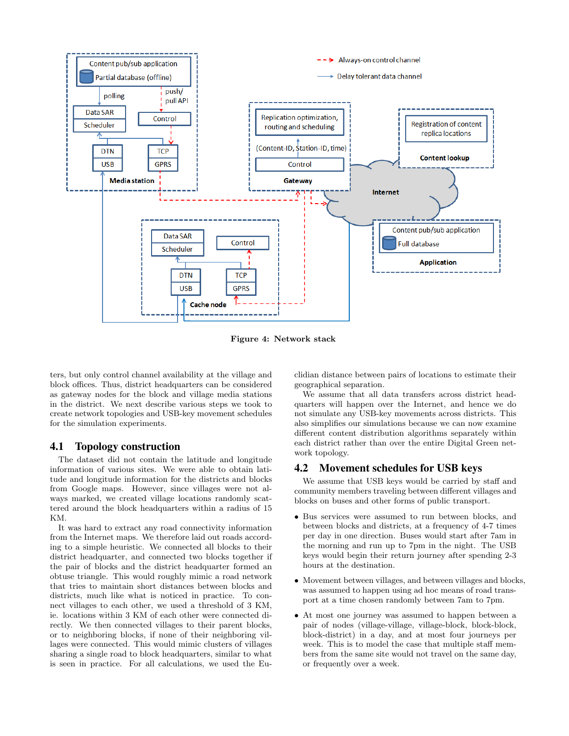

Figure 4: Network stack

ters, but only control channel availability at the village and block offices. Thus, district headquarters can be considered as gateway nodes for the block and village media stations in the district. We next describe various steps we took to create network topologies and USB-key movement schedules for the simulation experiments.

## 4.1 Topology construction

The dataset did not contain the latitude and longitude information of various sites. We were able to obtain latitude and longitude information for the districts and blocks from Google maps. However, since villages were not always marked, we created village locations randomly scattered around the block headquarters within a radius of 15 KM.

It was hard to extract any road connectivity information from the Internet maps. We therefore laid out roads according to a simple heuristic. We connected all blocks to their district headquarter, and connected two blocks together if the pair of blocks and the district headquarter formed an obtuse triangle. This would roughly mimic a road network that tries to maintain short distances between blocks and districts, much like what is noticed in practice. To connect villages to each other, we used a threshold of 3 KM, ie. locations within 3 KM of each other were connected directly. We then connected villages to their parent blocks, or to neighboring blocks, if none of their neighboring villages were connected. This would mimic clusters of villages sharing a single road to block headquarters, similar to what is seen in practice. For all calculations, we used the Euclidian distance between pairs of locations to estimate their geographical separation.

We assume that all data transfers across district headquarters will happen over the Internet, and hence we do not simulate any USB-key movements across districts. This also simplifies our simulations because we can now examine different content distribution algorithms separately within each district rather than over the entire Digital Green network topology.

#### 4.2 Movement schedules for USB keys

We assume that USB keys would be carried by staff and community members traveling between different villages and blocks on buses and other forms of public transport.

- Bus services were assumed to run between blocks, and between blocks and districts, at a frequency of 4-7 times per day in one direction. Buses would start after 7am in the morning and run up to 7pm in the night. The USB keys would begin their return journey after spending 2-3 hours at the destination.
- Movement between villages, and between villages and blocks, was assumed to happen using ad hoc means of road transport at a time chosen randomly between 7am to 7pm.
- At most one journey was assumed to happen between a pair of nodes (village-village, village-block, block-block, block-district) in a day, and at most four journeys per week. This is to model the case that multiple staff members from the same site would not travel on the same day, or frequently over a week.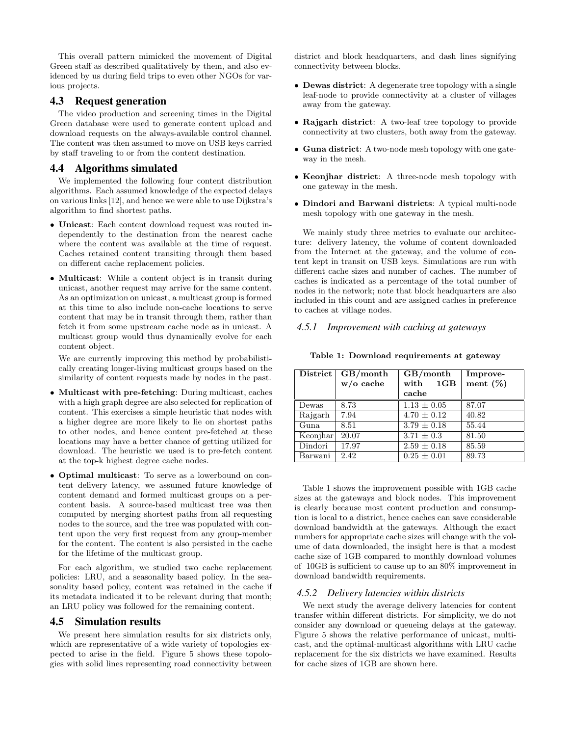This overall pattern mimicked the movement of Digital Green staff as described qualitatively by them, and also evidenced by us during field trips to even other NGOs for various projects.

## 4.3 Request generation

The video production and screening times in the Digital Green database were used to generate content upload and download requests on the always-available control channel. The content was then assumed to move on USB keys carried by staff traveling to or from the content destination.

## 4.4 Algorithms simulated

We implemented the following four content distribution algorithms. Each assumed knowledge of the expected delays on various links [12], and hence we were able to use Dijkstra's algorithm to find shortest paths.

- Unicast: Each content download request was routed independently to the destination from the nearest cache where the content was available at the time of request. Caches retained content transiting through them based on different cache replacement policies.
- Multicast: While a content object is in transit during unicast, another request may arrive for the same content. As an optimization on unicast, a multicast group is formed at this time to also include non-cache locations to serve content that may be in transit through them, rather than fetch it from some upstream cache node as in unicast. A multicast group would thus dynamically evolve for each content object.

We are currently improving this method by probabilistically creating longer-living multicast groups based on the similarity of content requests made by nodes in the past.

- Multicast with pre-fetching: During multicast, caches with a high graph degree are also selected for replication of content. This exercises a simple heuristic that nodes with a higher degree are more likely to lie on shortest paths to other nodes, and hence content pre-fetched at these locations may have a better chance of getting utilized for download. The heuristic we used is to pre-fetch content at the top-k highest degree cache nodes.
- Optimal multicast: To serve as a lowerbound on content delivery latency, we assumed future knowledge of content demand and formed multicast groups on a percontent basis. A source-based multicast tree was then computed by merging shortest paths from all requesting nodes to the source, and the tree was populated with content upon the very first request from any group-member for the content. The content is also persisted in the cache for the lifetime of the multicast group.

For each algorithm, we studied two cache replacement policies: LRU, and a seasonality based policy. In the seasonality based policy, content was retained in the cache if its metadata indicated it to be relevant during that month; an LRU policy was followed for the remaining content.

#### 4.5 Simulation results

We present here simulation results for six districts only, which are representative of a wide variety of topologies expected to arise in the field. Figure 5 shows these topologies with solid lines representing road connectivity between district and block headquarters, and dash lines signifying connectivity between blocks.

- Dewas district: A degenerate tree topology with a single leaf-node to provide connectivity at a cluster of villages away from the gateway.
- Rajgarh district: A two-leaf tree topology to provide connectivity at two clusters, both away from the gateway.
- Guna district: A two-node mesh topology with one gateway in the mesh.
- Keonjhar district: A three-node mesh topology with one gateway in the mesh.
- Dindori and Barwani districts: A typical multi-node mesh topology with one gateway in the mesh.

We mainly study three metrics to evaluate our architecture: delivery latency, the volume of content downloaded from the Internet at the gateway, and the volume of content kept in transit on USB keys. Simulations are run with different cache sizes and number of caches. The number of caches is indicated as a percentage of the total number of nodes in the network; note that block headquarters are also included in this count and are assigned caches in preference to caches at village nodes.

### *4.5.1 Improvement with caching at gateways*

| District | GB/month    | GB/month                | Improve-    |
|----------|-------------|-------------------------|-------------|
|          | $w/o$ cache | with<br>1 <sub>GB</sub> | ment $(\%)$ |
|          |             | cache                   |             |
| Dewas    | 8.73        | $1.13 \pm 0.05$         | 87.07       |
| Rajgarh  | 7.94        | $4.70 \pm 0.12$         | 40.82       |
| Guna     | 8.51        | $3.79 \pm 0.18$         | 55.44       |
| Keonjhar | 20.07       | $3.71 \pm 0.3$          | 81.50       |
| Dindori  | 17.97       | $2.59 \pm 0.18$         | 85.59       |
| Barwani  | 2.42        | $0.25 \pm 0.01$         | 89.73       |

#### Table 1: Download requirements at gateway

Table 1 shows the improvement possible with 1GB cache sizes at the gateways and block nodes. This improvement is clearly because most content production and consumption is local to a district, hence caches can save considerable download bandwidth at the gateways. Although the exact numbers for appropriate cache sizes will change with the volume of data downloaded, the insight here is that a modest cache size of 1GB compared to monthly download volumes of 10GB is sufficient to cause up to an 80% improvement in download bandwidth requirements.

### *4.5.2 Delivery latencies within districts*

We next study the average delivery latencies for content transfer within different districts. For simplicity, we do not consider any download or queueing delays at the gateway. Figure 5 shows the relative performance of unicast, multicast, and the optimal-multicast algorithms with LRU cache replacement for the six districts we have examined. Results for cache sizes of 1GB are shown here.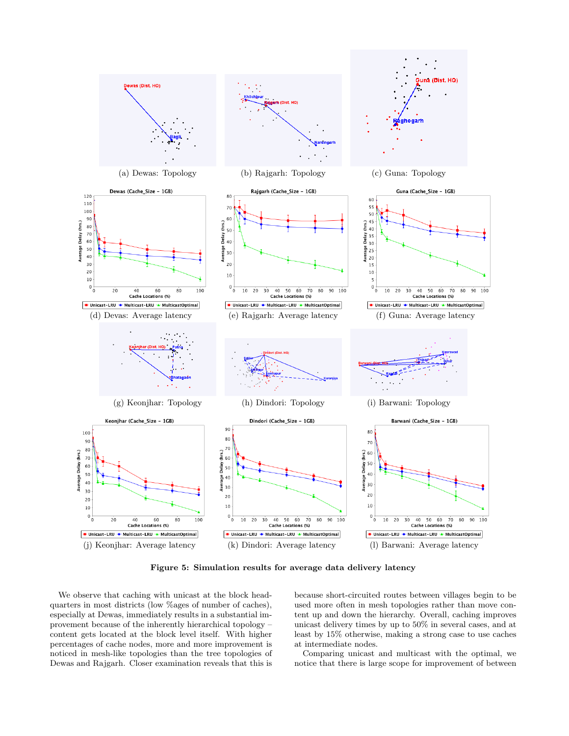

Figure 5: Simulation results for average data delivery latency

We observe that caching with unicast at the block headquarters in most districts (low %ages of number of caches), especially at Dewas, immediately results in a substantial improvement because of the inherently hierarchical topology – content gets located at the block level itself. With higher percentages of cache nodes, more and more improvement is noticed in mesh-like topologies than the tree topologies of Dewas and Rajgarh. Closer examination reveals that this is because short-circuited routes between villages begin to be used more often in mesh topologies rather than move content up and down the hierarchy. Overall, caching improves unicast delivery times by up to 50% in several cases, and at least by 15% otherwise, making a strong case to use caches at intermediate nodes.

Comparing unicast and multicast with the optimal, we notice that there is large scope for improvement of between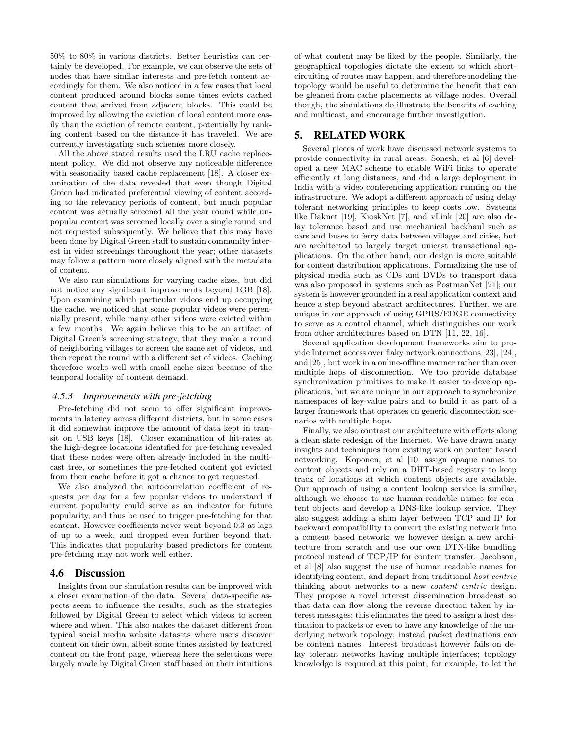50% to 80% in various districts. Better heuristics can certainly be developed. For example, we can observe the sets of nodes that have similar interests and pre-fetch content accordingly for them. We also noticed in a few cases that local content produced around blocks some times evicts cached content that arrived from adjacent blocks. This could be improved by allowing the eviction of local content more easily than the eviction of remote content, potentially by ranking content based on the distance it has traveled. We are currently investigating such schemes more closely.

All the above stated results used the LRU cache replacement policy. We did not observe any noticeable difference with seasonality based cache replacement [18]. A closer examination of the data revealed that even though Digital Green had indicated preferential viewing of content according to the relevancy periods of content, but much popular content was actually screened all the year round while unpopular content was screened locally over a single round and not requested subsequently. We believe that this may have been done by Digital Green staff to sustain community interest in video screenings throughout the year; other datasets may follow a pattern more closely aligned with the metadata of content.

We also ran simulations for varying cache sizes, but did not notice any significant improvements beyond 1GB [18]. Upon examining which particular videos end up occupying the cache, we noticed that some popular videos were perennially present, while many other videos were evicted within a few months. We again believe this to be an artifact of Digital Green's screening strategy, that they make a round of neighboring villages to screen the same set of videos, and then repeat the round with a different set of videos. Caching therefore works well with small cache sizes because of the temporal locality of content demand.

#### *4.5.3 Improvements with pre-fetching*

Pre-fetching did not seem to offer significant improvements in latency across different districts, but in some cases it did somewhat improve the amount of data kept in transit on USB keys [18]. Closer examination of hit-rates at the high-degree locations identified for pre-fetching revealed that these nodes were often already included in the multicast tree, or sometimes the pre-fetched content got evicted from their cache before it got a chance to get requested.

We also analyzed the autocorrelation coefficient of requests per day for a few popular videos to understand if current popularity could serve as an indicator for future popularity, and thus be used to trigger pre-fetching for that content. However coefficients never went beyond 0.3 at lags of up to a week, and dropped even further beyond that. This indicates that popularity based predictors for content pre-fetching may not work well either.

#### 4.6 Discussion

Insights from our simulation results can be improved with a closer examination of the data. Several data-specific aspects seem to influence the results, such as the strategies followed by Digital Green to select which videos to screen where and when. This also makes the dataset different from typical social media website datasets where users discover content on their own, albeit some times assisted by featured content on the front page, whereas here the selections were largely made by Digital Green staff based on their intuitions of what content may be liked by the people. Similarly, the geographical topologies dictate the extent to which shortcircuiting of routes may happen, and therefore modeling the topology would be useful to determine the benefit that can be gleaned from cache placements at village nodes. Overall though, the simulations do illustrate the benefits of caching and multicast, and encourage further investigation.

# 5. RELATED WORK

Several pieces of work have discussed network systems to provide connectivity in rural areas. Sonesh, et al [6] developed a new MAC scheme to enable WiFi links to operate efficiently at long distances, and did a large deployment in India with a video conferencing application running on the infrastructure. We adopt a different approach of using delay tolerant networking principles to keep costs low. Systems like Daknet [19], KioskNet [7], and vLink [20] are also delay tolerance based and use mechanical backhaul such as cars and buses to ferry data between villages and cities, but are architected to largely target unicast transactional applications. On the other hand, our design is more suitable for content distribution applications. Formalizing the use of physical media such as CDs and DVDs to transport data was also proposed in systems such as PostmanNet [21]; our system is however grounded in a real application context and hence a step beyond abstract architectures. Further, we are unique in our approach of using GPRS/EDGE connectivity to serve as a control channel, which distinguishes our work from other architectures based on DTN [11, 22, 16].

Several application development frameworks aim to provide Internet access over flaky network connections [23], [24], and [25], but work in a online-offline manner rather than over multiple hops of disconnection. We too provide database synchronization primitives to make it easier to develop applications, but we are unique in our approach to synchronize namespaces of key-value pairs and to build it as part of a larger framework that operates on generic disconnection scenarios with multiple hops.

Finally, we also contrast our architecture with efforts along a clean slate redesign of the Internet. We have drawn many insights and techniques from existing work on content based networking. Koponen, et al [10] assign opaque names to content objects and rely on a DHT-based registry to keep track of locations at which content objects are available. Our approach of using a content lookup service is similar, although we choose to use human-readable names for content objects and develop a DNS-like lookup service. They also suggest adding a shim layer between TCP and IP for backward compatibility to convert the existing network into a content based network; we however design a new architecture from scratch and use our own DTN-like bundling protocol instead of TCP/IP for content transfer. Jacobson, et al [8] also suggest the use of human readable names for identifying content, and depart from traditional host centric thinking about networks to a new content centric design. They propose a novel interest dissemination broadcast so that data can flow along the reverse direction taken by interest messages; this eliminates the need to assign a host destination to packets or even to have any knowledge of the underlying network topology; instead packet destinations can be content names. Interest broadcast however fails on delay tolerant networks having multiple interfaces; topology knowledge is required at this point, for example, to let the